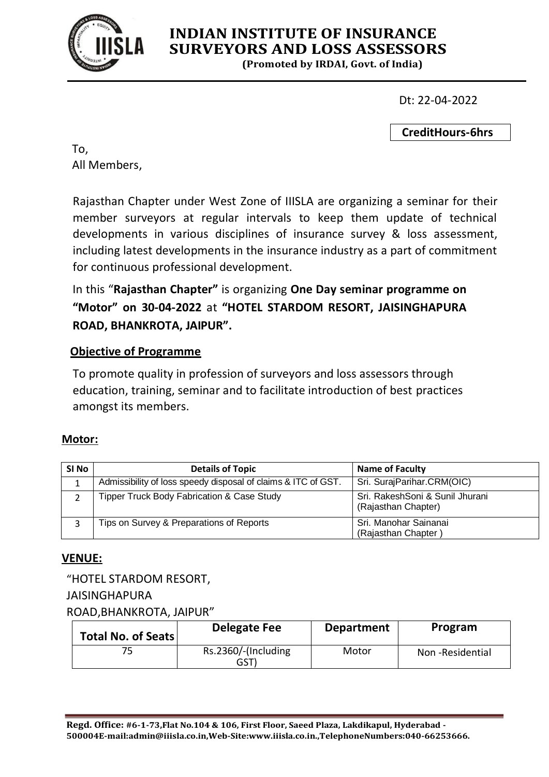

# **INDIAN INSTITUTE OF INSURANCE SURVEYORS AND LOSS ASSESSORS**

**(Promoted by IRDAI, Govt. of India)**

Dt: 22-04-2022

**CreditHours-6hrs**

To, All Members,

Rajasthan Chapter under West Zone of IIISLA are organizing a seminar for their member surveyors at regular intervals to keep them update of technical developments in various disciplines of insurance survey & loss assessment, including latest developments in the insurance industry as a part of commitment for continuous professional development.

In this "**Rajasthan Chapter"** is organizing **One Day seminar programme on "Motor" on 30-04-2022** at **"HOTEL STARDOM RESORT, JAISINGHAPURA ROAD, BHANKROTA, JAIPUR".**

# **Objective of Programme**

To promote quality in profession of surveyors and loss assessors through education, training, seminar and to facilitate introduction of best practices amongst its members.

#### **Motor:**

| SI <sub>No</sub> | <b>Details of Topic</b>                                       | <b>Name of Faculty</b>                                 |
|------------------|---------------------------------------------------------------|--------------------------------------------------------|
|                  | Admissibility of loss speedy disposal of claims & ITC of GST. | Sri. SurajParihar.CRM(OIC)                             |
|                  | <b>Tipper Truck Body Fabrication &amp; Case Study</b>         | Sri. RakeshSoni & Sunil Jhurani<br>(Rajasthan Chapter) |
|                  | Tips on Survey & Preparations of Reports                      | Sri. Manohar Sainanai<br>(Rajasthan Chapter            |

# **VENUE:**

"HOTEL STARDOM RESORT,

#### JAISINGHAPURA

ROAD,BHANKROTA, JAIPUR"

| Total No. of Seats | Delegate Fee                | <b>Department</b> | Program         |
|--------------------|-----------------------------|-------------------|-----------------|
|                    | Rs.2360/-(Including<br>GST` | Motor             | Non-Residential |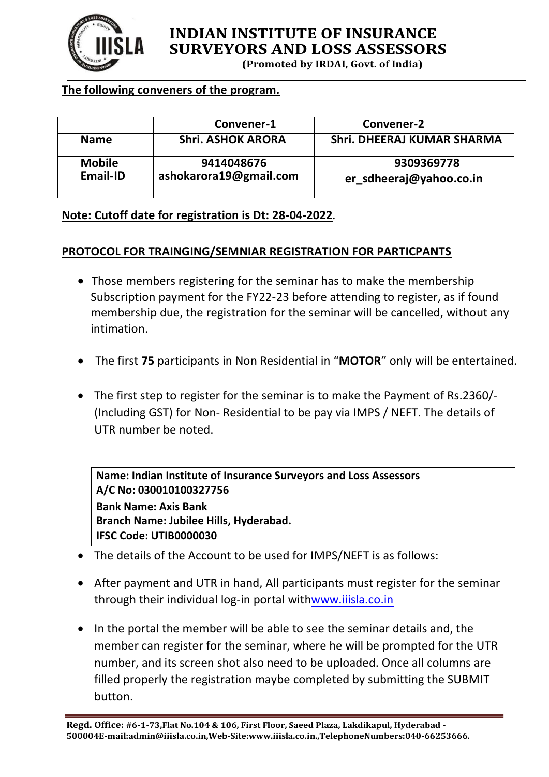

# **INDIAN INSTITUTE OF INSURANCE SURVEYORS AND LOSS ASSESSORS**

**(Promoted by IRDAI, Govt. of India)**

#### **The following conveners of the program.**

|               | Convener-1               | Convener-2                        |
|---------------|--------------------------|-----------------------------------|
| <b>Name</b>   | <b>Shri. ASHOK ARORA</b> | <b>Shri. DHEERAJ KUMAR SHARMA</b> |
| <b>Mobile</b> | 9414048676               | 9309369778                        |
| Email-ID      | ashokarora19@gmail.com   | er_sdheeraj@yahoo.co.in           |

#### **Note: Cutoff date for registration is Dt: 28-04-2022.**

#### **PROTOCOL FOR TRAINGING/SEMNIAR REGISTRATION FOR PARTICPANTS**

- Those members registering for the seminar has to make the membership Subscription payment for the FY22-23 before attending to register, as if found membership due, the registration for the seminar will be cancelled, without any intimation.
- The first **75** participants in Non Residential in "**MOTOR**" only will be entertained.
- The first step to register for the seminar is to make the Payment of Rs.2360/- (Including GST) for Non- Residential to be pay via IMPS / NEFT. The details of UTR number be noted.

**Name: Indian Institute of Insurance Surveyors and Loss Assessors A/C No: 030010100327756 Bank Name: Axis Bank Branch Name: Jubilee Hills, Hyderabad. IFSC Code: UTIB0000030**

- The details of the Account to be used for IMPS/NEFT is as follows:
- After payment and UTR in hand, All participants must register for the seminar through their individual log-in portal withwww.iiisla.co.in
- In the portal the member will be able to see the seminar details and, the member can register for the seminar, where he will be prompted for the UTR number, and its screen shot also need to be uploaded. Once all columns are filled properly the registration maybe completed by submitting the SUBMIT button.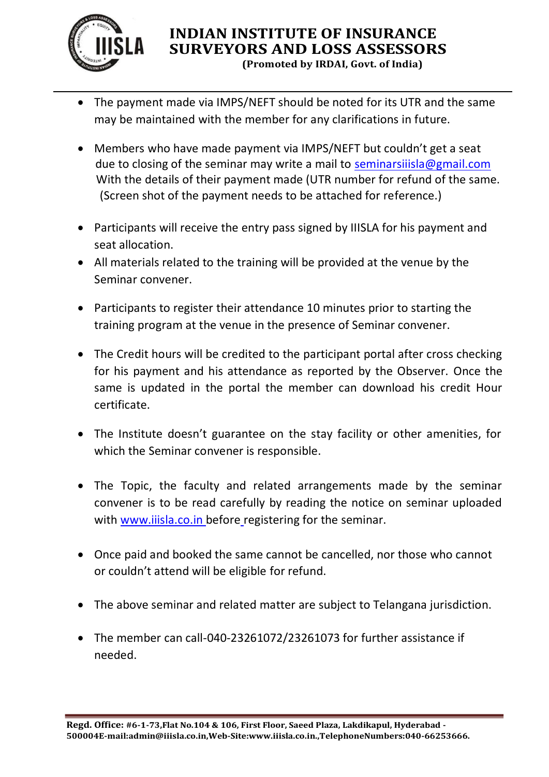

# **INDIAN INSTITUTE OF INSURANCE SURVEYORS AND LOSS ASSESSORS (Promoted by IRDAI, Govt. of India)**

- The payment made via IMPS/NEFT should be noted for its UTR and the same may be maintained with the member for any clarifications in future.
- Members who have made payment via IMPS/NEFT but couldn't get a seat due to closing of the seminar may write a mail to seminarsiiisla@gmail.com With the details of their payment made (UTR number for refund of the same. (Screen shot of the payment needs to be attached for reference.)
- Participants will receive the entry pass signed by IIISLA for his payment and seat allocation.
- All materials related to the training will be provided at the venue by the Seminar convener.
- Participants to register their attendance 10 minutes prior to starting the training program at the venue in the presence of Seminar convener.
- The Credit hours will be credited to the participant portal after cross checking for his payment and his attendance as reported by the Observer. Once the same is updated in the portal the member can download his credit Hour certificate.
- The Institute doesn't guarantee on the stay facility or other amenities, for which the Seminar convener is responsible.
- The Topic, the faculty and related arrangements made by the seminar convener is to be read carefully by reading the notice on seminar uploaded with www.iiisla.co.in before registering for the seminar.
- Once paid and booked the same cannot be cancelled, nor those who cannot or couldn't attend will be eligible for refund.
- The above seminar and related matter are subject to Telangana jurisdiction.
- The member can call-040-23261072/23261073 for further assistance if needed.